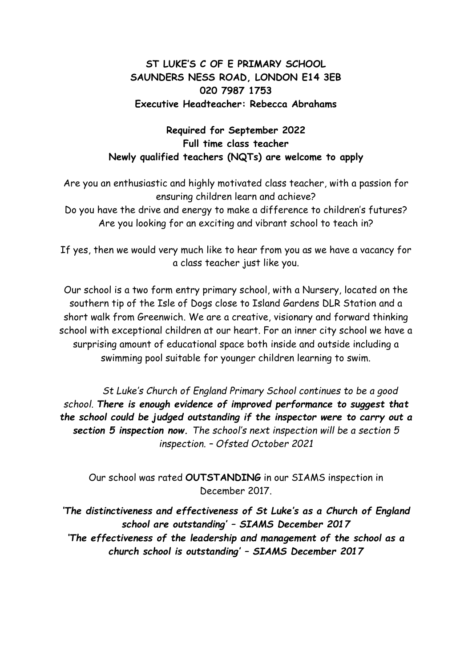## **ST LUKE'S C OF E PRIMARY SCHOOL SAUNDERS NESS ROAD, LONDON E14 3EB 020 7987 1753 Executive Headteacher: Rebecca Abrahams**

## **Required for September 2022 Full time class teacher Newly qualified teachers (NQTs) are welcome to apply**

Are you an enthusiastic and highly motivated class teacher, with a passion for ensuring children learn and achieve? Do you have the drive and energy to make a difference to children's futures? Are you looking for an exciting and vibrant school to teach in?

If yes, then we would very much like to hear from you as we have a vacancy for a class teacher just like you.

Our school is a two form entry primary school, with a Nursery, located on the southern tip of the Isle of Dogs close to Island Gardens DLR Station and a short walk from Greenwich. We are a creative, visionary and forward thinking school with exceptional children at our heart. For an inner city school we have a surprising amount of educational space both inside and outside including a swimming pool suitable for younger children learning to swim.

*St Luke's Church of England Primary School continues to be a good school. There is enough evidence of improved performance to suggest that the school could be judged outstanding if the inspector were to carry out a section 5 inspection now. The school's next inspection will be a section 5 inspection. – Ofsted October 2021*

Our school was rated **OUTSTANDING** in our SIAMS inspection in December 2017.

*'The distinctiveness and effectiveness of St Luke's as a Church of England school are outstanding' – SIAMS December 2017 'The effectiveness of the leadership and management of the school as a church school is outstanding' – SIAMS December 2017*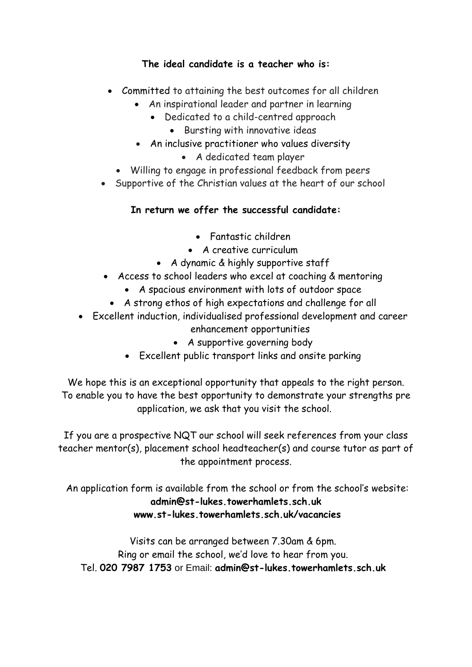## **The ideal candidate is a teacher who is:**

- Committed to attaining the best outcomes for all children
	- An inspirational leader and partner in learning
		- Dedicated to a child-centred approach
			- Bursting with innovative ideas
	- An inclusive practitioner who values diversity
		- A dedicated team player
	- Willing to engage in professional feedback from peers
- Supportive of the Christian values at the heart of our school

## **In return we offer the successful candidate:**

- Fantastic children
- A creative curriculum
- A dynamic & highly supportive staff
- Access to school leaders who excel at coaching & mentoring
	- A spacious environment with lots of outdoor space
	- A strong ethos of high expectations and challenge for all
- Excellent induction, individualised professional development and career enhancement opportunities
	- A supportive governing body
	- Excellent public transport links and onsite parking

We hope this is an exceptional opportunity that appeals to the right person. To enable you to have the best opportunity to demonstrate your strengths pre application, we ask that you visit the school.

If you are a prospective NQT our school will seek references from your class teacher mentor(s), placement school headteacher(s) and course tutor as part of the appointment process.

An application form is available from the school or from the school's website: **[admin@st-lukes.towerhamlets.sch.uk](mailto:admin@st-lukes.towerhamlets.sch.uk) [www.st-lukes.towerhamlets.sch.uk/](http://www.st-lukes.towerhamlets.sch.uk/)vacancies**

Visits can be arranged between 7.30am & 6pm. Ring or email the school, we'd love to hear from you. Tel. **[020 7987 1753](http://javascript:void(0)/)** or Email: **[admin@st-lukes.towerhamlets.sch.uk](mailto:admin@st-lukes.towerhamlets.sch.uk)**